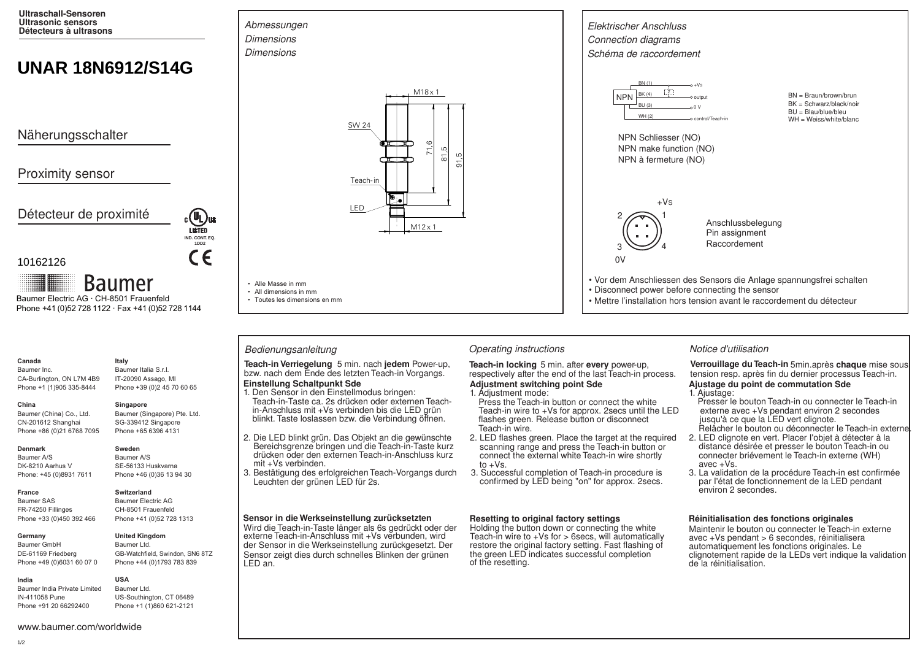**Ultraschall-Sensoren Ultrasonic sensors Détecteurs à ultrasons**

# **UNAR 18N6912/S14G**

Näherungsschalter

# Proximity sensor

Détecteur de proximité



**Baumer** Baumer Electric AG · CH-8501 Frauenfeld Phone +41 (0)52 728 1122 · Fax +41 (0)52 728 1144

# **Canada**

Baumer Inc. CA-Burlington, ON L7M 4B9 Phone +1 (1)905 335-8444 **Italy**

SG-339412 Singapore

### **Denmark**

**France**

**China** 

Baumer A/S DK-8210 Aarhus V Phone: +45 (0)8931 7611

Baumer (China) Co., Ltd. CN-201612 Shanghai Phone +86 (0)21 6768 7095

Baumer SAS FR-74250 Fillinges Phone +33 (0)450 392 466

### **Germany**

Baumer GmbH DE-61169 Friedberg Phone +49 (0)6031 60 07 0

# Baumer Ltd.

GB-Watchfield, Swindon, SN6 8TZ Phone +44 (0)1793 783 839

### **India** Baumer India Private Limited

IN-411058 Pune Phone +91 20 66292400

Baumer Italia S.r.l. IT-20090 Assago, MI Phone +39 (0)2 45 70 60 65

**IND. CONT. EQ. 1DD2**

 $\epsilon$ 

**LISTED** 

### **Singapore**

Baumer (Singapore) Pte. Ltd. Phone +65 6396 4131

**Sweden** Baumer A/S SE-56133 Huskvarna Phone +46 (0)36 13 94 30

# **Switzerland**

Baumer Electric AG CH-8501 Frauenfeld Phone +41 (0)52 728 1313



**USA** Baumer Ltd. US-Southington, CT 06489

Phone +1 (1)860 621-2121



 $M12 \times 1$ 

┌┬

91,
5



• Alle Masse in mm • All dimensions in mm • Toutes les dimensions en mm

**Einstellung Schaltpunkt Sde Teach-in Verriegelung** 5 min. nach **jedem** Power-up, **Teach-in locking** 5 min. after every power-up, bzw. nach dem Ende des letzten Teach-in Vorgangs. respectively after the end of the last Teach-in provided to the last T

- Teach-in-Taste ca. 2s drücken oder externen Teachin-Anschluss mit +Vs verbinden bis die LED grün 1. Den Sensor in den Einstellmodus bringen:
- 2. Die LED blinkt grün. Das Objekt an die gewünschte Bereichsgrenze bringen und die Teach-in-Taste kurz drücken oder den externen Teach-in-Anschluss kurz mit +Vs verbinden.

blinkt. Taste loslassen bzw. die Verbindung öffnen.

3. Bestätigung des erfolgreichen Teach-Vorgangs durch Leuchten der grünen LED für 2s.

### **Sensor in die Werkseinstellung zurücksetzten**

Wird die Teach-in-Taste länger als 6s gedrückt oder der externe Teach-in-Anschluss mit +Vs verbunden, wird der Sensor in die Werkseinstellung zurückgesetzt. Der Sensor zeigt dies durch schnelles Blinken der grünen LED an.



respectively after the end of the last Teach-in process. **Adjustment switching point Sde**

# 1. Adjustment mode:

- Press the Teach-in button or connect the white Teach-in wire to +Vs for approx. 2secs until the LED flashes green. Release button or disconnect Teach-in wire.
- 2. LED flashes green. Place the target at the required scanning range and press the Teach-in button or connect the external white Teach-in wire shortly to  $+Vs$ .
- 3. Successful completion of Teach-in procedure is confirmed by LED being "on" for approx. 2secs.

### **Resetting to original factory settings**

Holding the button down or connecting the white Teach-in wire to  $+Vs$  for  $>$  6secs, will automatically restore the original factory setting. Fast flashing of the green LED indicates successful completion of the resetting.

Verrouillage du Teach-in 5min.après chaque mise sous tension resp. après fin du dernier processus Teach-in.

## **Ajustage du point de commutation Sde**

- Presser le bouton Teach-in ou connecter le Teach-in externe avec +Vs pendant environ 2 secondes 1. Ajustage: jusqu'à ce que la LED vert clignote.
- 2. LED clignote en vert. Placer I'objet à détecter à la Relâcher le bouton ou déconnecter le Teach-in externe.
- distance désirée et presser le bouton Teach-in ou connecter briévement le Teach-in externe (WH) avec +Vs.
- 3. La validation de la procédure Teach-in est confirmée par I'état de fonctionnement de la LED pendant environ 2 secondes.

### **Réinitialisation des fonctions originales**

Maintenir le bouton ou connecter le Teach-in externe avec +Vs pendant > 6 secondes, réinitialisera automatiquement les fonctions originales. Le clignotement rapide de la LEDs vert indique la validation de la réinitialisation.